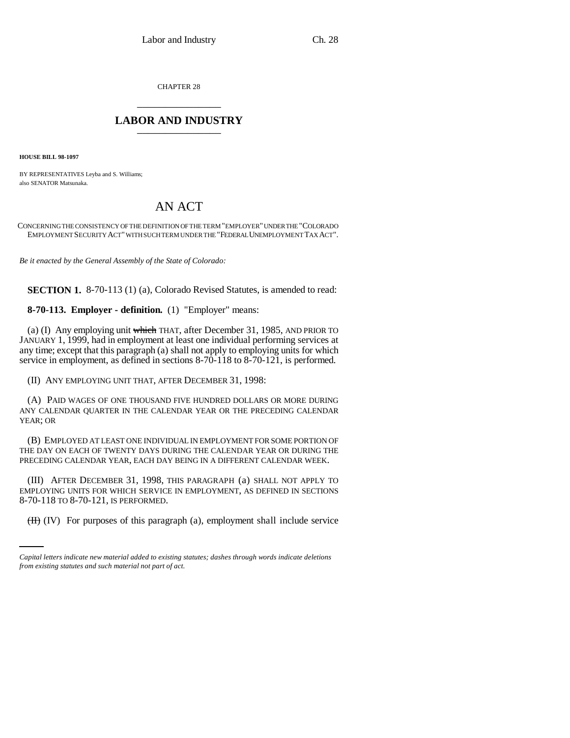CHAPTER 28 \_\_\_\_\_\_\_\_\_\_\_\_\_\_\_

## **LABOR AND INDUSTRY** \_\_\_\_\_\_\_\_\_\_\_\_\_\_\_

**HOUSE BILL 98-1097**

BY REPRESENTATIVES Leyba and S. Williams; also SENATOR Matsunaka.

## AN ACT

CONCERNING THE CONSISTENCY OF THE DEFINITION OF THE TERM "EMPLOYER" UNDER THE "COLORADO EMPLOYMENT SECURITY ACT" WITH SUCH TERM UNDER THE "FEDERAL UNEMPLOYMENT TAX ACT".

*Be it enacted by the General Assembly of the State of Colorado:*

**SECTION 1.** 8-70-113 (1) (a), Colorado Revised Statutes, is amended to read:

**8-70-113. Employer - definition.** (1) "Employer" means:

(a) (I) Any employing unit which THAT, after December 31, 1985, AND PRIOR TO JANUARY 1, 1999, had in employment at least one individual performing services at any time; except that this paragraph (a) shall not apply to employing units for which service in employment, as defined in sections 8-70-118 to 8-70-121, is performed.

(II) ANY EMPLOYING UNIT THAT, AFTER DECEMBER 31, 1998:

(A) PAID WAGES OF ONE THOUSAND FIVE HUNDRED DOLLARS OR MORE DURING ANY CALENDAR QUARTER IN THE CALENDAR YEAR OR THE PRECEDING CALENDAR YEAR; OR

(B) EMPLOYED AT LEAST ONE INDIVIDUAL IN EMPLOYMENT FOR SOME PORTION OF THE DAY ON EACH OF TWENTY DAYS DURING THE CALENDAR YEAR OR DURING THE PRECEDING CALENDAR YEAR, EACH DAY BEING IN A DIFFERENT CALENDAR WEEK.

8-70-118 TO 8-70-121, IS PERFORMED. (III) AFTER DECEMBER 31, 1998, THIS PARAGRAPH (a) SHALL NOT APPLY TO EMPLOYING UNITS FOR WHICH SERVICE IN EMPLOYMENT, AS DEFINED IN SECTIONS

(II) (IV) For purposes of this paragraph (a), employment shall include service

*Capital letters indicate new material added to existing statutes; dashes through words indicate deletions from existing statutes and such material not part of act.*